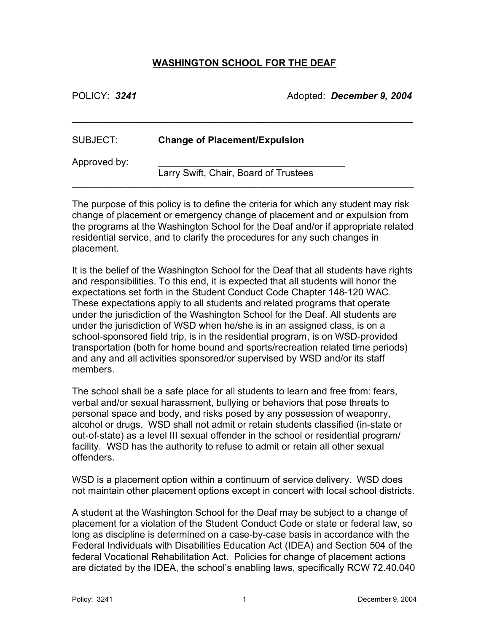## **WASHINGTON SCHOOL FOR THE DEAF**

POLICY: *3241* Adopted: *December 9, 2004*

| SUBJECT:     | <b>Change of Placement/Expulsion</b>  |  |
|--------------|---------------------------------------|--|
| Approved by: | Larry Swift, Chair, Board of Trustees |  |

\_\_\_\_\_\_\_\_\_\_\_\_\_\_\_\_\_\_\_\_\_\_\_\_\_\_\_\_\_\_\_\_\_\_\_\_\_\_\_\_\_\_\_\_\_\_\_\_\_\_\_\_\_\_\_\_\_\_\_\_\_\_\_\_

The purpose of this policy is to define the criteria for which any student may risk change of placement or emergency change of placement and or expulsion from the programs at the Washington School for the Deaf and/or if appropriate related residential service, and to clarify the procedures for any such changes in placement.

It is the belief of the Washington School for the Deaf that all students have rights and responsibilities. To this end, it is expected that all students will honor the expectations set forth in the Student Conduct Code Chapter 148-120 WAC. These expectations apply to all students and related programs that operate under the jurisdiction of the Washington School for the Deaf. All students are under the jurisdiction of WSD when he/she is in an assigned class, is on a school-sponsored field trip, is in the residential program, is on WSD-provided transportation (both for home bound and sports/recreation related time periods) and any and all activities sponsored/or supervised by WSD and/or its staff members.

The school shall be a safe place for all students to learn and free from: fears, verbal and/or sexual harassment, bullying or behaviors that pose threats to personal space and body, and risks posed by any possession of weaponry, alcohol or drugs. WSD shall not admit or retain students classified (in-state or out-of-state) as a level III sexual offender in the school or residential program/ facility. WSD has the authority to refuse to admit or retain all other sexual offenders.

WSD is a placement option within a continuum of service delivery. WSD does not maintain other placement options except in concert with local school districts.

A student at the Washington School for the Deaf may be subject to a change of placement for a violation of the Student Conduct Code or state or federal law, so long as discipline is determined on a case-by-case basis in accordance with the Federal Individuals with Disabilities Education Act (IDEA) and Section 504 of the federal Vocational Rehabilitation Act. Policies for change of placement actions are dictated by the IDEA, the school's enabling laws, specifically RCW 72.40.040